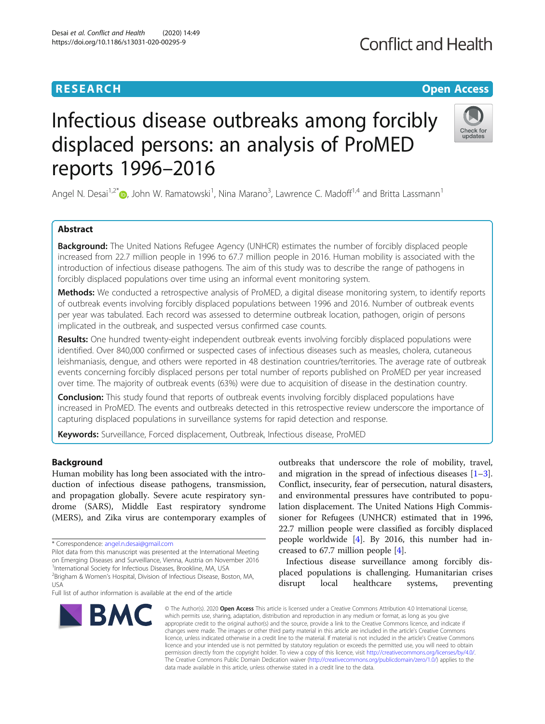## **RESEARCH CHEAR CHEAR CHEAR CHEAR CHEAR CHEAR CHEAR CHEAR CHEAR CHEAR CHEAR CHEAR CHEAR CHEAR CHEAR CHEAR CHEAR**

## **Conflict and Health**

Check for updates

# Infectious disease outbreaks among forcibly displaced persons: an analysis of ProMED reports 1996–2016

Angel N. Desai<sup>1[,](http://orcid.org/0000-0001-8962-9427)2\*</sup> $\bm{\odot}$ , John W. Ramatowski<sup>1</sup>, Nina Marano<sup>3</sup>, Lawrence C. Madoff<sup>1,4</sup> and Britta Lassmann<sup>1</sup>

## Abstract

**Background:** The United Nations Refugee Agency (UNHCR) estimates the number of forcibly displaced people increased from 22.7 million people in 1996 to 67.7 million people in 2016. Human mobility is associated with the introduction of infectious disease pathogens. The aim of this study was to describe the range of pathogens in forcibly displaced populations over time using an informal event monitoring system.

Methods: We conducted a retrospective analysis of ProMED, a digital disease monitoring system, to identify reports of outbreak events involving forcibly displaced populations between 1996 and 2016. Number of outbreak events per year was tabulated. Each record was assessed to determine outbreak location, pathogen, origin of persons implicated in the outbreak, and suspected versus confirmed case counts.

Results: One hundred twenty-eight independent outbreak events involving forcibly displaced populations were identified. Over 840,000 confirmed or suspected cases of infectious diseases such as measles, cholera, cutaneous leishmaniasis, dengue, and others were reported in 48 destination countries/territories. The average rate of outbreak events concerning forcibly displaced persons per total number of reports published on ProMED per year increased over time. The majority of outbreak events (63%) were due to acquisition of disease in the destination country.

**Conclusion:** This study found that reports of outbreak events involving forcibly displaced populations have increased in ProMED. The events and outbreaks detected in this retrospective review underscore the importance of capturing displaced populations in surveillance systems for rapid detection and response.

Keywords: Surveillance, Forced displacement, Outbreak, Infectious disease, ProMED

## Background

Human mobility has long been associated with the introduction of infectious disease pathogens, transmission, and propagation globally. Severe acute respiratory syndrome (SARS), Middle East respiratory syndrome (MERS), and Zika virus are contemporary examples of

**BMC** 

Pilot data from this manuscript was presented at the International Meeting on Emerging Diseases and Surveillance, Vienna, Austria on November 2016 1 International Society for Infectious Diseases, Brookline, MA, USA



outbreaks that underscore the role of mobility, travel,

Infectious disease surveillance among forcibly displaced populations is challenging. Humanitarian crises disrupt local healthcare systems, preventing

© The Author(s), 2020 **Open Access** This article is licensed under a Creative Commons Attribution 4.0 International License, which permits use, sharing, adaptation, distribution and reproduction in any medium or format, as long as you give appropriate credit to the original author(s) and the source, provide a link to the Creative Commons licence, and indicate if changes were made. The images or other third party material in this article are included in the article's Creative Commons licence, unless indicated otherwise in a credit line to the material. If material is not included in the article's Creative Commons licence and your intended use is not permitted by statutory regulation or exceeds the permitted use, you will need to obtain permission directly from the copyright holder. To view a copy of this licence, visit [http://creativecommons.org/licenses/by/4.0/.](http://creativecommons.org/licenses/by/4.0/) The Creative Commons Public Domain Dedication waiver [\(http://creativecommons.org/publicdomain/zero/1.0/](http://creativecommons.org/publicdomain/zero/1.0/)) applies to the data made available in this article, unless otherwise stated in a credit line to the data.

<sup>\*</sup> Correspondence: [angel.n.desai@gmail.com](mailto:angel.n.desai@gmail.com)

<sup>&</sup>lt;sup>2</sup>Brigham & Women's Hospital, Division of Infectious Disease, Boston, MA, USA

Full list of author information is available at the end of the article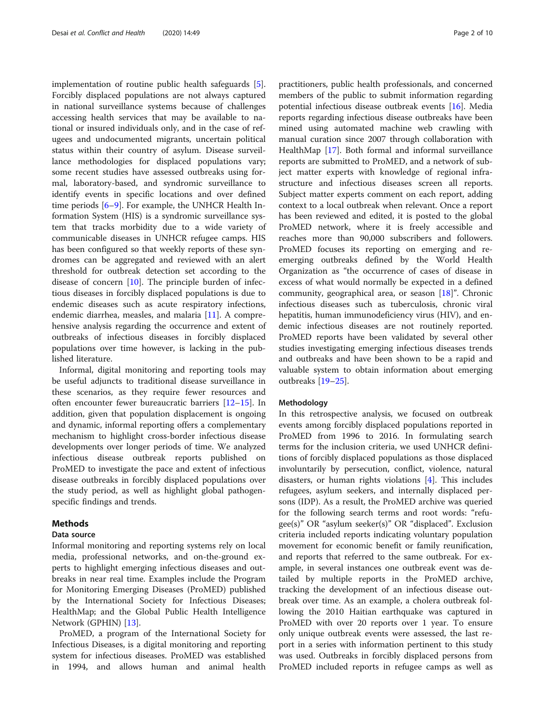implementation of routine public health safeguards [\[5](#page-9-0)]. Forcibly displaced populations are not always captured in national surveillance systems because of challenges accessing health services that may be available to national or insured individuals only, and in the case of refugees and undocumented migrants, uncertain political status within their country of asylum. Disease surveillance methodologies for displaced populations vary; some recent studies have assessed outbreaks using formal, laboratory-based, and syndromic surveillance to identify events in specific locations and over defined time periods [\[6](#page-9-0)–[9\]](#page-9-0). For example, the UNHCR Health Information System (HIS) is a syndromic surveillance system that tracks morbidity due to a wide variety of communicable diseases in UNHCR refugee camps. HIS has been configured so that weekly reports of these syndromes can be aggregated and reviewed with an alert threshold for outbreak detection set according to the disease of concern  $[10]$  $[10]$ . The principle burden of infectious diseases in forcibly displaced populations is due to endemic diseases such as acute respiratory infections, endemic diarrhea, measles, and malaria [[11\]](#page-9-0). A comprehensive analysis regarding the occurrence and extent of outbreaks of infectious diseases in forcibly displaced populations over time however, is lacking in the published literature.

Informal, digital monitoring and reporting tools may be useful adjuncts to traditional disease surveillance in these scenarios, as they require fewer resources and often encounter fewer bureaucratic barriers [[12](#page-9-0)–[15](#page-9-0)]. In addition, given that population displacement is ongoing and dynamic, informal reporting offers a complementary mechanism to highlight cross-border infectious disease developments over longer periods of time. We analyzed infectious disease outbreak reports published on ProMED to investigate the pace and extent of infectious disease outbreaks in forcibly displaced populations over the study period, as well as highlight global pathogenspecific findings and trends.

## Methods

#### Data source

Informal monitoring and reporting systems rely on local media, professional networks, and on-the-ground experts to highlight emerging infectious diseases and outbreaks in near real time. Examples include the Program for Monitoring Emerging Diseases (ProMED) published by the International Society for Infectious Diseases; HealthMap; and the Global Public Health Intelligence Network (GPHIN) [[13\]](#page-9-0).

ProMED, a program of the International Society for Infectious Diseases, is a digital monitoring and reporting system for infectious diseases. ProMED was established in 1994, and allows human and animal health

practitioners, public health professionals, and concerned members of the public to submit information regarding potential infectious disease outbreak events [[16\]](#page-9-0). Media reports regarding infectious disease outbreaks have been mined using automated machine web crawling with manual curation since 2007 through collaboration with HealthMap [\[17](#page-9-0)]. Both formal and informal surveillance reports are submitted to ProMED, and a network of subject matter experts with knowledge of regional infrastructure and infectious diseases screen all reports. Subject matter experts comment on each report, adding context to a local outbreak when relevant. Once a report has been reviewed and edited, it is posted to the global ProMED network, where it is freely accessible and reaches more than 90,000 subscribers and followers. ProMED focuses its reporting on emerging and reemerging outbreaks defined by the World Health Organization as "the occurrence of cases of disease in excess of what would normally be expected in a defined community, geographical area, or season [[18\]](#page-9-0)". Chronic infectious diseases such as tuberculosis, chronic viral hepatitis, human immunodeficiency virus (HIV), and endemic infectious diseases are not routinely reported. ProMED reports have been validated by several other studies investigating emerging infectious diseases trends and outbreaks and have been shown to be a rapid and valuable system to obtain information about emerging outbreaks [[19](#page-9-0)–[25](#page-9-0)].

#### Methodology

In this retrospective analysis, we focused on outbreak events among forcibly displaced populations reported in ProMED from 1996 to 2016. In formulating search terms for the inclusion criteria, we used UNHCR definitions of forcibly displaced populations as those displaced involuntarily by persecution, conflict, violence, natural disasters, or human rights violations [\[4](#page-9-0)]. This includes refugees, asylum seekers, and internally displaced persons (IDP). As a result, the ProMED archive was queried for the following search terms and root words: "refugee(s)" OR "asylum seeker(s)" OR "displaced". Exclusion criteria included reports indicating voluntary population movement for economic benefit or family reunification, and reports that referred to the same outbreak. For example, in several instances one outbreak event was detailed by multiple reports in the ProMED archive, tracking the development of an infectious disease outbreak over time. As an example, a cholera outbreak following the 2010 Haitian earthquake was captured in ProMED with over 20 reports over 1 year. To ensure only unique outbreak events were assessed, the last report in a series with information pertinent to this study was used. Outbreaks in forcibly displaced persons from ProMED included reports in refugee camps as well as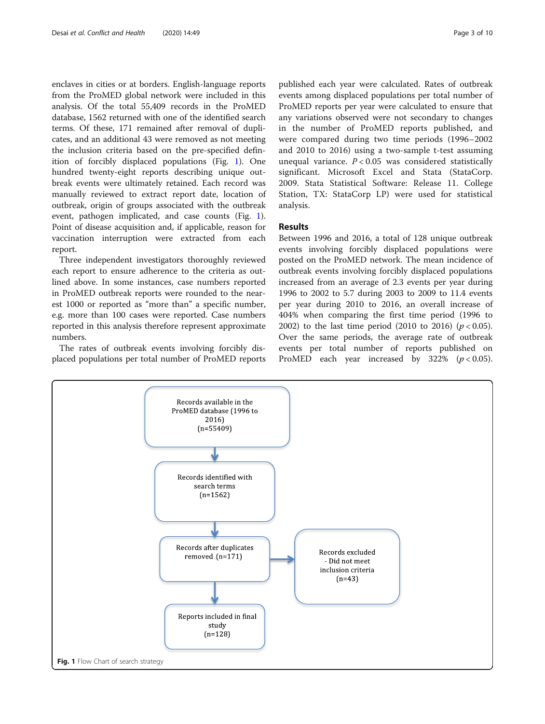enclaves in cities or at borders. English-language reports from the ProMED global network were included in this analysis. Of the total 55,409 records in the ProMED database, 1562 returned with one of the identified search terms. Of these, 171 remained after removal of duplicates, and an additional 43 were removed as not meeting the inclusion criteria based on the pre-specified definition of forcibly displaced populations (Fig. 1). One hundred twenty-eight reports describing unique outbreak events were ultimately retained. Each record was manually reviewed to extract report date, location of outbreak, origin of groups associated with the outbreak event, pathogen implicated, and case counts (Fig. 1). Point of disease acquisition and, if applicable, reason for vaccination interruption were extracted from each report.

Three independent investigators thoroughly reviewed each report to ensure adherence to the criteria as outlined above. In some instances, case numbers reported in ProMED outbreak reports were rounded to the nearest 1000 or reported as "more than" a specific number, e.g. more than 100 cases were reported. Case numbers reported in this analysis therefore represent approximate numbers.

The rates of outbreak events involving forcibly displaced populations per total number of ProMED reports published each year were calculated. Rates of outbreak events among displaced populations per total number of ProMED reports per year were calculated to ensure that any variations observed were not secondary to changes in the number of ProMED reports published, and were compared during two time periods (1996–2002 and 2010 to 2016) using a two-sample t-test assuming unequal variance.  $P < 0.05$  was considered statistically significant. Microsoft Excel and Stata (StataCorp.

2009. Stata Statistical Software: Release 11. College Station, TX: StataCorp LP) were used for statistical

## Results

analysis.

Between 1996 and 2016, a total of 128 unique outbreak events involving forcibly displaced populations were posted on the ProMED network. The mean incidence of outbreak events involving forcibly displaced populations increased from an average of 2.3 events per year during 1996 to 2002 to 5.7 during 2003 to 2009 to 11.4 events per year during 2010 to 2016, an overall increase of 404% when comparing the first time period (1996 to 2002) to the last time period (2010 to 2016)  $(p < 0.05)$ . Over the same periods, the average rate of outbreak events per total number of reports published on ProMED each year increased by 322%  $(p < 0.05)$ .

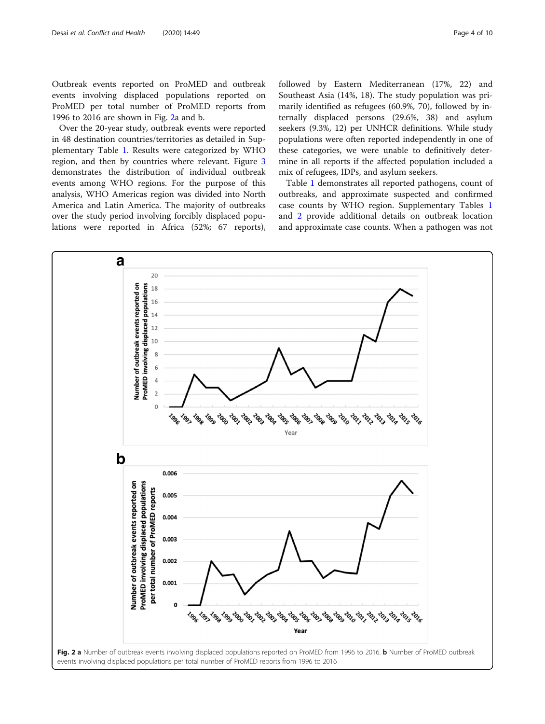Outbreak events reported on ProMED and outbreak events involving displaced populations reported on ProMED per total number of ProMED reports from 1996 to 2016 are shown in Fig. 2a and b.

Over the 20-year study, outbreak events were reported in 48 destination countries/territories as detailed in Supplementary Table [1.](#page-8-0) Results were categorized by WHO region, and then by countries where relevant. Figure [3](#page-4-0) demonstrates the distribution of individual outbreak events among WHO regions. For the purpose of this analysis, WHO Americas region was divided into North America and Latin America. The majority of outbreaks over the study period involving forcibly displaced populations were reported in Africa (52%; 67 reports), followed by Eastern Mediterranean (17%, 22) and Southeast Asia (14%, 18). The study population was primarily identified as refugees (60.9%, 70), followed by internally displaced persons (29.6%, 38) and asylum seekers (9.3%, 12) per UNHCR definitions. While study populations were often reported independently in one of these categories, we were unable to definitively determine in all reports if the affected population included a mix of refugees, IDPs, and asylum seekers.

Table [1](#page-5-0) demonstrates all reported pathogens, count of outbreaks, and approximate suspected and confirmed case counts by WHO region. Supplementary Tables [1](#page-8-0) and [2](#page-8-0) provide additional details on outbreak location and approximate case counts. When a pathogen was not

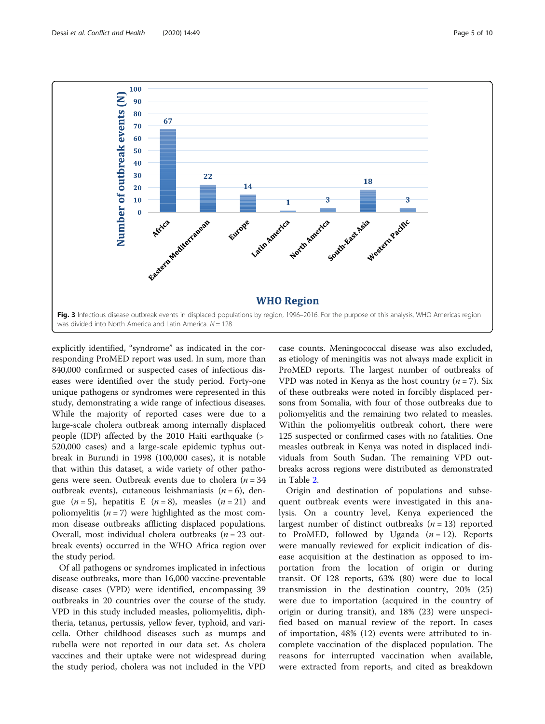<span id="page-4-0"></span>

explicitly identified, "syndrome" as indicated in the corresponding ProMED report was used. In sum, more than 840,000 confirmed or suspected cases of infectious diseases were identified over the study period. Forty-one unique pathogens or syndromes were represented in this study, demonstrating a wide range of infectious diseases. While the majority of reported cases were due to a large-scale cholera outbreak among internally displaced people (IDP) affected by the 2010 Haiti earthquake (> 520,000 cases) and a large-scale epidemic typhus outbreak in Burundi in 1998 (100,000 cases), it is notable that within this dataset, a wide variety of other pathogens were seen. Outbreak events due to cholera ( $n = 34$ ) outbreak events), cutaneous leishmaniasis  $(n = 6)$ , dengue  $(n=5)$ , hepatitis E  $(n=8)$ , measles  $(n=21)$  and poliomyelitis  $(n = 7)$  were highlighted as the most common disease outbreaks afflicting displaced populations. Overall, most individual cholera outbreaks ( $n = 23$  outbreak events) occurred in the WHO Africa region over the study period.

Of all pathogens or syndromes implicated in infectious disease outbreaks, more than 16,000 vaccine-preventable disease cases (VPD) were identified, encompassing 39 outbreaks in 20 countries over the course of the study. VPD in this study included measles, poliomyelitis, diphtheria, tetanus, pertussis, yellow fever, typhoid, and varicella. Other childhood diseases such as mumps and rubella were not reported in our data set. As cholera vaccines and their uptake were not widespread during the study period, cholera was not included in the VPD case counts. Meningococcal disease was also excluded, as etiology of meningitis was not always made explicit in ProMED reports. The largest number of outbreaks of VPD was noted in Kenya as the host country  $(n = 7)$ . Six of these outbreaks were noted in forcibly displaced persons from Somalia, with four of those outbreaks due to poliomyelitis and the remaining two related to measles. Within the poliomyelitis outbreak cohort, there were 125 suspected or confirmed cases with no fatalities. One measles outbreak in Kenya was noted in displaced individuals from South Sudan. The remaining VPD outbreaks across regions were distributed as demonstrated in Table [2.](#page-6-0)

Origin and destination of populations and subsequent outbreak events were investigated in this analysis. On a country level, Kenya experienced the largest number of distinct outbreaks  $(n = 13)$  reported to ProMED, followed by Uganda  $(n = 12)$ . Reports were manually reviewed for explicit indication of disease acquisition at the destination as opposed to importation from the location of origin or during transit. Of 128 reports, 63% (80) were due to local transmission in the destination country, 20% (25) were due to importation (acquired in the country of origin or during transit), and 18% (23) were unspecified based on manual review of the report. In cases of importation, 48% (12) events were attributed to incomplete vaccination of the displaced population. The reasons for interrupted vaccination when available, were extracted from reports, and cited as breakdown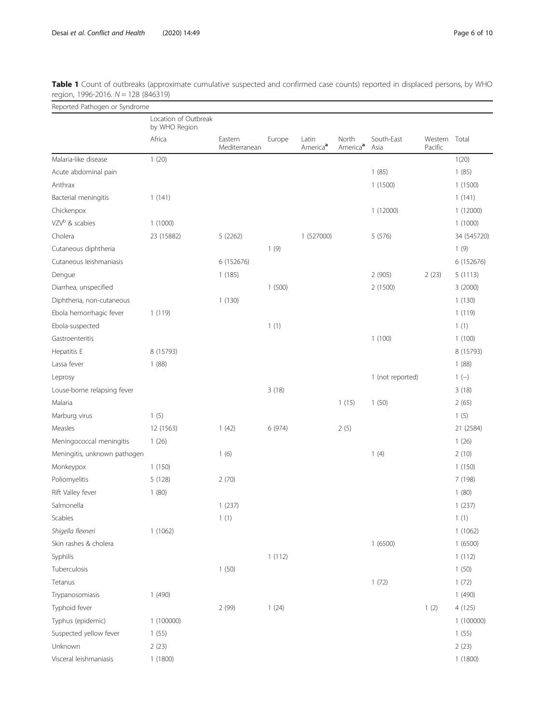| Reported Pathogen or Syndrome |                                                 |                          |        |                               |                               |                    |                          |             |  |  |
|-------------------------------|-------------------------------------------------|--------------------------|--------|-------------------------------|-------------------------------|--------------------|--------------------------|-------------|--|--|
|                               | Location of Outbreak<br>by WHO Region<br>Africa | Eastern<br>Mediterranean | Europe | Latin<br>America <sup>a</sup> | North<br>America <sup>a</sup> | South-East<br>Asia | Western Total<br>Pacific |             |  |  |
|                               |                                                 |                          |        |                               |                               |                    |                          |             |  |  |
| Malaria-like disease          | 1(20)                                           |                          |        |                               |                               |                    |                          | 1(20)       |  |  |
| Acute abdominal pain          |                                                 |                          |        |                               |                               | 1(85)              |                          | 1(85)       |  |  |
| Anthrax                       |                                                 |                          |        |                               |                               | 1(1500)            |                          | 1(1500)     |  |  |
| Bacterial meningitis          | 1(141)                                          |                          |        |                               |                               |                    |                          | 1(141)      |  |  |
| Chickenpox                    |                                                 |                          |        |                               |                               | 1 (12000)          |                          | 1(12000)    |  |  |
| VZV <sup>b</sup> & scabies    | 1(1000)                                         |                          |        |                               |                               |                    |                          | 1(1000)     |  |  |
| Cholera                       | 23 (15882)                                      | 5(2262)                  |        | 1 (527000)                    |                               | 5(576)             |                          | 34 (545720) |  |  |
| Cutaneous diphtheria          |                                                 |                          | 1(9)   |                               |                               |                    |                          | 1(9)        |  |  |
| Cutaneous leishmaniasis       |                                                 | 6 (152676)               |        |                               |                               |                    |                          | 6 (152676)  |  |  |
| Dengue                        |                                                 | 1(185)                   |        |                               |                               | 2(905)             | 2(23)                    | 5(1113)     |  |  |
| Diarrhea, unspecified         |                                                 |                          | 1(500) |                               |                               | 2 (1500)           |                          | 3 (2000)    |  |  |
| Diphtheria, non-cutaneous     |                                                 | 1(130)                   |        |                               |                               |                    |                          | 1(130)      |  |  |
| Ebola hemorrhagic fever       | 1(119)                                          |                          |        |                               |                               |                    |                          | 1(119)      |  |  |
| Ebola-suspected               |                                                 |                          | 1(1)   |                               |                               |                    |                          | 1(1)        |  |  |
| Gastroenteritis               |                                                 |                          |        |                               |                               | 1(100)             |                          | 1(100)      |  |  |
| Hepatitis E                   | 8 (15793)                                       |                          |        |                               |                               |                    |                          | 8 (15793)   |  |  |
| Lassa fever                   | 1(88)                                           |                          |        |                               |                               |                    |                          | 1(88)       |  |  |
| Leprosy                       |                                                 |                          |        |                               |                               | 1 (not reported)   |                          | $1(-)$      |  |  |
| Louse-borne relapsing fever   |                                                 |                          | 3(18)  |                               |                               |                    |                          | 3(18)       |  |  |
| Malaria                       |                                                 |                          |        |                               | 1(15)                         | 1(50)              |                          | 2(65)       |  |  |
| Marburg virus                 | 1(5)                                            |                          |        |                               |                               |                    |                          | 1(5)        |  |  |
| Measles                       | 12 (1563)                                       | 1(42)                    | 6(974) |                               | 2(5)                          |                    |                          | 21 (2584)   |  |  |
| Meningococcal meningitis      | 1(26)                                           |                          |        |                               |                               |                    |                          | 1(26)       |  |  |
| Meningitis, unknown pathogen  |                                                 | 1(6)                     |        |                               |                               | 1(4)               |                          | 2(10)       |  |  |
| Monkeypox                     | 1(150)                                          |                          |        |                               |                               |                    |                          | 1(150)      |  |  |
| Poliomyelitis                 | 5(128)                                          | 2(70)                    |        |                               |                               |                    |                          | 7 (198)     |  |  |
| Rift Valley fever             | 1(80)                                           |                          |        |                               |                               |                    |                          | 1(80)       |  |  |
| Salmonella                    |                                                 | 1(237)                   |        |                               |                               |                    |                          | 1(237)      |  |  |
| Scabies                       |                                                 | 1(1)                     |        |                               |                               |                    |                          | 1(1)        |  |  |
| Shigella flexneri             | 1(1062)                                         |                          |        |                               |                               |                    |                          | 1(1062)     |  |  |
| Skin rashes & cholera         |                                                 |                          |        |                               |                               | 1(6500)            |                          | 1(6500)     |  |  |
| Syphilis                      |                                                 |                          | 1(112) |                               |                               |                    |                          | 1(112)      |  |  |
| Tuberculosis                  |                                                 | 1(50)                    |        |                               |                               |                    |                          | 1(50)       |  |  |
| Tetanus                       |                                                 |                          |        |                               |                               | 1(72)              |                          | 1(72)       |  |  |
| Trypanosomiasis               | 1(490)                                          |                          |        |                               |                               |                    |                          | 1(490)      |  |  |
| Typhoid fever                 |                                                 | 2(99)                    | 1(24)  |                               |                               |                    | 1(2)                     | 4(125)      |  |  |
| Typhus (epidemic)             | 1 (100000)                                      |                          |        |                               |                               |                    |                          | 1 (100000)  |  |  |
| Suspected yellow fever        | 1(55)                                           |                          |        |                               |                               |                    |                          | 1(55)       |  |  |
| Unknown                       | 2(23)                                           |                          |        |                               |                               |                    |                          | 2(23)       |  |  |
| Visceral leishmaniasis        | 1(1800)                                         |                          |        |                               |                               |                    |                          | 1(1800)     |  |  |

<span id="page-5-0"></span>Table 1 Count of outbreaks (approximate cumulative suspected and confirmed case counts) reported in displaced persons, by WHO region, 1996-2016. N = 128 (846319)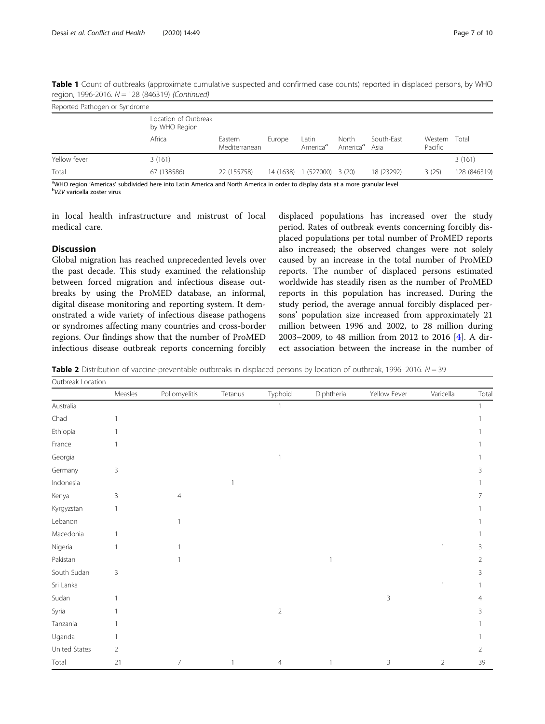| Reported Pathogen or Syndrome |                                       |                          |           |                               |                               |                    |                    |              |  |
|-------------------------------|---------------------------------------|--------------------------|-----------|-------------------------------|-------------------------------|--------------------|--------------------|--------------|--|
|                               | Location of Outbreak<br>by WHO Region |                          |           |                               |                               |                    |                    |              |  |
|                               | Africa                                | Eastern<br>Mediterranean | Europe    | ∟atin<br>America <sup>a</sup> | North<br>America <sup>a</sup> | South-East<br>Asia | Western<br>Pacific | Total        |  |
| Yellow fever                  | 3(161)                                |                          |           |                               |                               |                    |                    | 3(161)       |  |
| Total                         | 67 (138586)                           | 22 (155758)              | 14 (1638) | 1 (527000) 3 (20)             |                               | 18 (23292)         | 3(25)              | 128 (846319) |  |

<span id="page-6-0"></span>Table 1 Count of outbreaks (approximate cumulative suspected and confirmed case counts) reported in displaced persons, by WHO region, 1996-2016. N = 128 (846319) (Continued)

<sup>a</sup>WHO region 'Americas' subdivided here into Latin America and North America in order to display data at a more granular level<br><sup>b</sup>VZV varicella zoster virus <sup>b</sup>VZV varicella zoster virus

in local health infrastructure and mistrust of local medical care.

## **Discussion**

Global migration has reached unprecedented levels over the past decade. This study examined the relationship between forced migration and infectious disease outbreaks by using the ProMED database, an informal, digital disease monitoring and reporting system. It demonstrated a wide variety of infectious disease pathogens or syndromes affecting many countries and cross-border regions. Our findings show that the number of ProMED infectious disease outbreak reports concerning forcibly

displaced populations has increased over the study period. Rates of outbreak events concerning forcibly displaced populations per total number of ProMED reports also increased; the observed changes were not solely caused by an increase in the total number of ProMED reports. The number of displaced persons estimated worldwide has steadily risen as the number of ProMED reports in this population has increased. During the study period, the average annual forcibly displaced persons' population size increased from approximately 21 million between 1996 and 2002, to 28 million during 2003–2009, to 48 million from 2012 to 2016 [[4\]](#page-9-0). A direct association between the increase in the number of

Table 2 Distribution of vaccine-preventable outbreaks in displaced persons by location of outbreak, 1996–2016.  $N = 39$ 

| Outbreak Location |                |                |                |                |              |              |                |                |  |
|-------------------|----------------|----------------|----------------|----------------|--------------|--------------|----------------|----------------|--|
|                   | Measles        | Poliomyelitis  | Tetanus        | Typhoid        | Diphtheria   | Yellow Fever | Varicella      | Total          |  |
| Australia         |                |                |                | $\overline{1}$ |              |              |                | $\mathbf{1}$   |  |
| Chad              |                |                |                |                |              |              |                |                |  |
| Ethiopia          |                |                |                |                |              |              |                |                |  |
| France            |                |                |                |                |              |              |                |                |  |
| Georgia           |                |                |                | $\overline{1}$ |              |              |                |                |  |
| Germany           | 3              |                |                |                |              |              |                | 3              |  |
| Indonesia         |                |                | $\overline{1}$ |                |              |              |                |                |  |
| Kenya             | 3              | $\overline{4}$ |                |                |              |              |                |                |  |
| Kyrgyzstan        |                |                |                |                |              |              |                |                |  |
| Lebanon           |                |                |                |                |              |              |                |                |  |
| Macedonia         |                |                |                |                |              |              |                |                |  |
| Nigeria           |                |                |                |                |              |              | 1              | 3              |  |
| Pakistan          |                |                |                |                | $\mathbf{1}$ |              |                | $\overline{2}$ |  |
| South Sudan       | $\mathsf 3$    |                |                |                |              |              |                | 3              |  |
| Sri Lanka         |                |                |                |                |              |              | -1             |                |  |
| Sudan             |                |                |                |                |              | $\mathsf 3$  |                | 4              |  |
| Syria             |                |                |                | $\sqrt{2}$     |              |              |                | 3              |  |
| Tanzania          |                |                |                |                |              |              |                |                |  |
| Uganda            |                |                |                |                |              |              |                |                |  |
| United States     | $\overline{2}$ |                |                |                |              |              |                | 2              |  |
| Total             | 21             | 7              |                | $\overline{4}$ | 1            | 3            | $\overline{2}$ | 39             |  |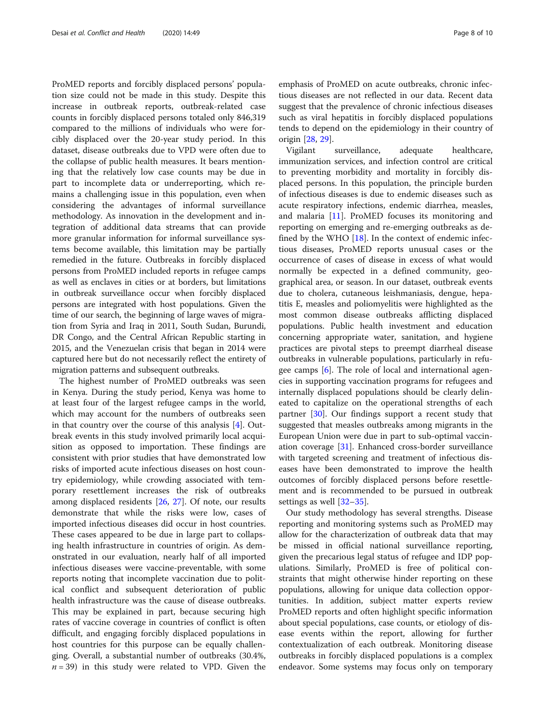ProMED reports and forcibly displaced persons' population size could not be made in this study. Despite this increase in outbreak reports, outbreak-related case counts in forcibly displaced persons totaled only 846,319 compared to the millions of individuals who were forcibly displaced over the 20-year study period. In this dataset, disease outbreaks due to VPD were often due to the collapse of public health measures. It bears mentioning that the relatively low case counts may be due in part to incomplete data or underreporting, which remains a challenging issue in this population, even when considering the advantages of informal surveillance methodology. As innovation in the development and integration of additional data streams that can provide more granular information for informal surveillance systems become available, this limitation may be partially remedied in the future. Outbreaks in forcibly displaced persons from ProMED included reports in refugee camps as well as enclaves in cities or at borders, but limitations in outbreak surveillance occur when forcibly displaced persons are integrated with host populations. Given the time of our search, the beginning of large waves of migration from Syria and Iraq in 2011, South Sudan, Burundi, DR Congo, and the Central African Republic starting in 2015, and the Venezuelan crisis that began in 2014 were captured here but do not necessarily reflect the entirety of migration patterns and subsequent outbreaks.

The highest number of ProMED outbreaks was seen in Kenya. During the study period, Kenya was home to at least four of the largest refugee camps in the world, which may account for the numbers of outbreaks seen in that country over the course of this analysis [\[4](#page-9-0)]. Outbreak events in this study involved primarily local acquisition as opposed to importation. These findings are consistent with prior studies that have demonstrated low risks of imported acute infectious diseases on host country epidemiology, while crowding associated with temporary resettlement increases the risk of outbreaks among displaced residents [\[26,](#page-9-0) [27\]](#page-9-0). Of note, our results demonstrate that while the risks were low, cases of imported infectious diseases did occur in host countries. These cases appeared to be due in large part to collapsing health infrastructure in countries of origin. As demonstrated in our evaluation, nearly half of all imported infectious diseases were vaccine-preventable, with some reports noting that incomplete vaccination due to political conflict and subsequent deterioration of public health infrastructure was the cause of disease outbreaks. This may be explained in part, because securing high rates of vaccine coverage in countries of conflict is often difficult, and engaging forcibly displaced populations in host countries for this purpose can be equally challenging. Overall, a substantial number of outbreaks (30.4%,  $n = 39$ ) in this study were related to VPD. Given the

emphasis of ProMED on acute outbreaks, chronic infectious diseases are not reflected in our data. Recent data suggest that the prevalence of chronic infectious diseases such as viral hepatitis in forcibly displaced populations tends to depend on the epidemiology in their country of origin [[28,](#page-9-0) [29\]](#page-9-0).

Vigilant surveillance, adequate healthcare, immunization services, and infection control are critical to preventing morbidity and mortality in forcibly displaced persons. In this population, the principle burden of infectious diseases is due to endemic diseases such as acute respiratory infections, endemic diarrhea, measles, and malaria [[11\]](#page-9-0). ProMED focuses its monitoring and reporting on emerging and re-emerging outbreaks as defined by the WHO  $[18]$  $[18]$ . In the context of endemic infectious diseases, ProMED reports unusual cases or the occurrence of cases of disease in excess of what would normally be expected in a defined community, geographical area, or season. In our dataset, outbreak events due to cholera, cutaneous leishmaniasis, dengue, hepatitis E, measles and poliomyelitis were highlighted as the most common disease outbreaks afflicting displaced populations. Public health investment and education concerning appropriate water, sanitation, and hygiene practices are pivotal steps to preempt diarrheal disease outbreaks in vulnerable populations, particularly in refugee camps [[6](#page-9-0)]. The role of local and international agencies in supporting vaccination programs for refugees and internally displaced populations should be clearly delineated to capitalize on the operational strengths of each partner [\[30](#page-9-0)]. Our findings support a recent study that suggested that measles outbreaks among migrants in the European Union were due in part to sub-optimal vaccination coverage [[31\]](#page-9-0). Enhanced cross-border surveillance with targeted screening and treatment of infectious diseases have been demonstrated to improve the health outcomes of forcibly displaced persons before resettlement and is recommended to be pursued in outbreak settings as well [\[32](#page-9-0)–[35\]](#page-9-0).

Our study methodology has several strengths. Disease reporting and monitoring systems such as ProMED may allow for the characterization of outbreak data that may be missed in official national surveillance reporting, given the precarious legal status of refugee and IDP populations. Similarly, ProMED is free of political constraints that might otherwise hinder reporting on these populations, allowing for unique data collection opportunities. In addition, subject matter experts review ProMED reports and often highlight specific information about special populations, case counts, or etiology of disease events within the report, allowing for further contextualization of each outbreak. Monitoring disease outbreaks in forcibly displaced populations is a complex endeavor. Some systems may focus only on temporary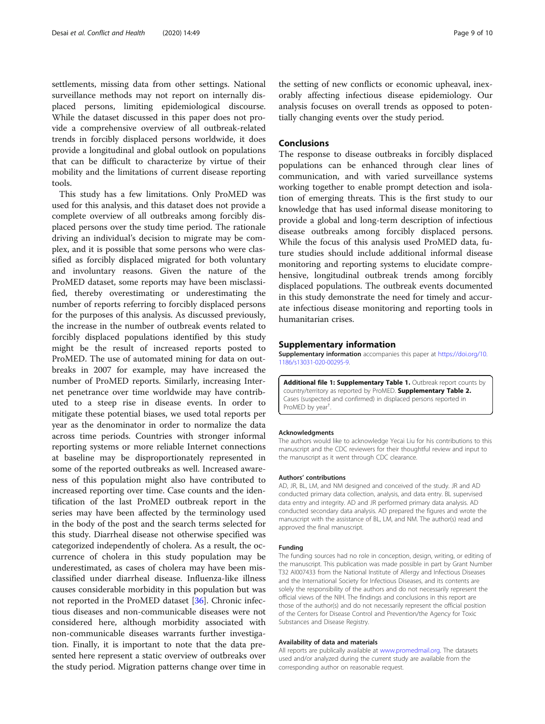<span id="page-8-0"></span>settlements, missing data from other settings. National surveillance methods may not report on internally displaced persons, limiting epidemiological discourse. While the dataset discussed in this paper does not provide a comprehensive overview of all outbreak-related trends in forcibly displaced persons worldwide, it does provide a longitudinal and global outlook on populations that can be difficult to characterize by virtue of their mobility and the limitations of current disease reporting tools.

This study has a few limitations. Only ProMED was used for this analysis, and this dataset does not provide a complete overview of all outbreaks among forcibly displaced persons over the study time period. The rationale driving an individual's decision to migrate may be complex, and it is possible that some persons who were classified as forcibly displaced migrated for both voluntary and involuntary reasons. Given the nature of the ProMED dataset, some reports may have been misclassified, thereby overestimating or underestimating the number of reports referring to forcibly displaced persons for the purposes of this analysis. As discussed previously, the increase in the number of outbreak events related to forcibly displaced populations identified by this study might be the result of increased reports posted to ProMED. The use of automated mining for data on outbreaks in 2007 for example, may have increased the number of ProMED reports. Similarly, increasing Internet penetrance over time worldwide may have contributed to a steep rise in disease events. In order to mitigate these potential biases, we used total reports per year as the denominator in order to normalize the data across time periods. Countries with stronger informal reporting systems or more reliable Internet connections at baseline may be disproportionately represented in some of the reported outbreaks as well. Increased awareness of this population might also have contributed to increased reporting over time. Case counts and the identification of the last ProMED outbreak report in the series may have been affected by the terminology used in the body of the post and the search terms selected for this study. Diarrheal disease not otherwise specified was categorized independently of cholera. As a result, the occurrence of cholera in this study population may be underestimated, as cases of cholera may have been misclassified under diarrheal disease. Influenza-like illness causes considerable morbidity in this population but was not reported in the ProMED dataset [[36\]](#page-9-0). Chronic infectious diseases and non-communicable diseases were not considered here, although morbidity associated with non-communicable diseases warrants further investigation. Finally, it is important to note that the data presented here represent a static overview of outbreaks over the study period. Migration patterns change over time in the setting of new conflicts or economic upheaval, inexorably affecting infectious disease epidemiology. Our analysis focuses on overall trends as opposed to potentially changing events over the study period.

## Conclusions

The response to disease outbreaks in forcibly displaced populations can be enhanced through clear lines of communication, and with varied surveillance systems working together to enable prompt detection and isolation of emerging threats. This is the first study to our knowledge that has used informal disease monitoring to provide a global and long-term description of infectious disease outbreaks among forcibly displaced persons. While the focus of this analysis used ProMED data, future studies should include additional informal disease monitoring and reporting systems to elucidate comprehensive, longitudinal outbreak trends among forcibly displaced populations. The outbreak events documented in this study demonstrate the need for timely and accurate infectious disease monitoring and reporting tools in humanitarian crises.

#### Supplementary information

Supplementary information accompanies this paper at [https://doi.org/10.](https://doi.org/10.1186/s13031-020-00295-9) [1186/s13031-020-00295-9](https://doi.org/10.1186/s13031-020-00295-9).

Additional file 1: Supplementary Table 1. Outbreak report counts by country/territory as reported by ProMED. Supplementary Table 2. Cases (suspected and confirmed) in displaced persons reported in ProMED by year† .

#### Acknowledgments

The authors would like to acknowledge Yecai Liu for his contributions to this manuscript and the CDC reviewers for their thoughtful review and input to the manuscript as it went through CDC clearance.

#### Authors' contributions

AD, JR, BL, LM, and NM designed and conceived of the study. JR and AD conducted primary data collection, analysis, and data entry. BL supervised data entry and integrity. AD and JR performed primary data analysis. AD conducted secondary data analysis. AD prepared the figures and wrote the manuscript with the assistance of BL, LM, and NM. The author(s) read and approved the final manuscript.

#### Funding

The funding sources had no role in conception, design, writing, or editing of the manuscript. This publication was made possible in part by Grant Number T32 AI007433 from the National Institute of Allergy and Infectious Diseases and the International Society for Infectious Diseases, and its contents are solely the responsibility of the authors and do not necessarily represent the official views of the NIH. The findings and conclusions in this report are those of the author(s) and do not necessarily represent the official position of the Centers for Disease Control and Prevention/the Agency for Toxic Substances and Disease Registry.

#### Availability of data and materials

All reports are publically available at [www.promedmail.org](http://www.promedmail.org). The datasets used and/or analyzed during the current study are available from the corresponding author on reasonable request.